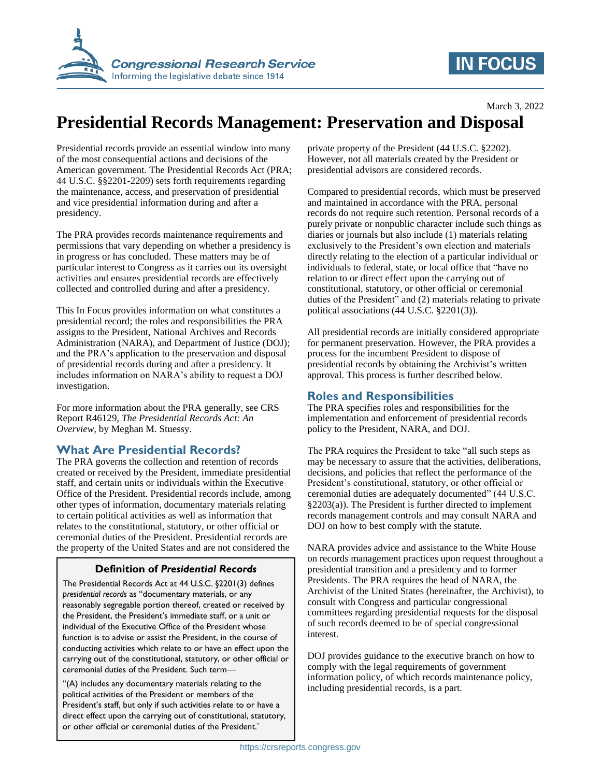

# **IN FOCUS**

# **Presidential Records Management: Preservation and Disposal**

Presidential records provide an essential window into many of the most consequential actions and decisions of the American government. The Presidential Records Act (PRA; 44 U.S.C. §§2201-2209) sets forth requirements regarding the maintenance, access, and preservation of presidential and vice presidential information during and after a presidency.

The PRA provides records maintenance requirements and permissions that vary depending on whether a presidency is in progress or has concluded. These matters may be of particular interest to Congress as it carries out its oversight activities and ensures presidential records are effectively collected and controlled during and after a presidency.

This In Focus provides information on what constitutes a presidential record; the roles and responsibilities the PRA assigns to the President, National Archives and Records Administration (NARA), and Department of Justice (DOJ); and the PRA's application to the preservation and disposal of presidential records during and after a presidency. It includes information on NARA's ability to request a DOJ investigation.

For more information about the PRA generally, see CRS Report R46129, *The Presidential Records Act: An Overview*, by Meghan M. Stuessy.

### **What Are Presidential Records?**

The PRA governs the collection and retention of records created or received by the President, immediate presidential staff, and certain units or individuals within the Executive Office of the President. Presidential records include, among other types of information, documentary materials relating to certain political activities as well as information that relates to the constitutional, statutory, or other official or ceremonial duties of the President. Presidential records are the property of the United States and are not considered the

## **Definition of** *Presidential Records*

The Presidential Records Act at 44 U.S.C. §2201(3) defines *presidential records* as "documentary materials, or any reasonably segregable portion thereof, created or received by the President, the President's immediate staff, or a unit or individual of the Executive Office of the President whose function is to advise or assist the President, in the course of conducting activities which relate to or have an effect upon the carrying out of the constitutional, statutory, or other official or ceremonial duties of the President. Such term—

"(A) includes any documentary materials relating to the political activities of the President or members of the President's staff, but only if such activities relate to or have a direct effect upon the carrying out of constitutional, statutory, or other official or ceremonial duties of the President."

private property of the President (44 U.S.C. §2202). However, not all materials created by the President or presidential advisors are considered records.

Compared to presidential records, which must be preserved and maintained in accordance with the PRA, personal records do not require such retention. Personal records of a purely private or nonpublic character include such things as diaries or journals but also include (1) materials relating exclusively to the President's own election and materials directly relating to the election of a particular individual or individuals to federal, state, or local office that "have no relation to or direct effect upon the carrying out of constitutional, statutory, or other official or ceremonial duties of the President" and (2) materials relating to private political associations (44 U.S.C. §2201(3)).

All presidential records are initially considered appropriate for permanent preservation. However, the PRA provides a process for the incumbent President to dispose of presidential records by obtaining the Archivist's written approval. This process is further described below.

## **Roles and Responsibilities**

The PRA specifies roles and responsibilities for the implementation and enforcement of presidential records policy to the President, NARA, and DOJ.

The PRA requires the President to take "all such steps as may be necessary to assure that the activities, deliberations, decisions, and policies that reflect the performance of the President's constitutional, statutory, or other official or ceremonial duties are adequately documented" (44 U.S.C. §2203(a)). The President is further directed to implement records management controls and may consult NARA and DOJ on how to best comply with the statute.

NARA provides advice and assistance to the White House on records management practices upon request throughout a presidential transition and a presidency and to former Presidents. The PRA requires the head of NARA, the Archivist of the United States (hereinafter, the Archivist), to consult with Congress and particular congressional committees regarding presidential requests for the disposal of such records deemed to be of special congressional interest.

DOJ provides guidance to the executive branch on how to comply with the legal requirements of government information policy, of which records maintenance policy, including presidential records, is a part.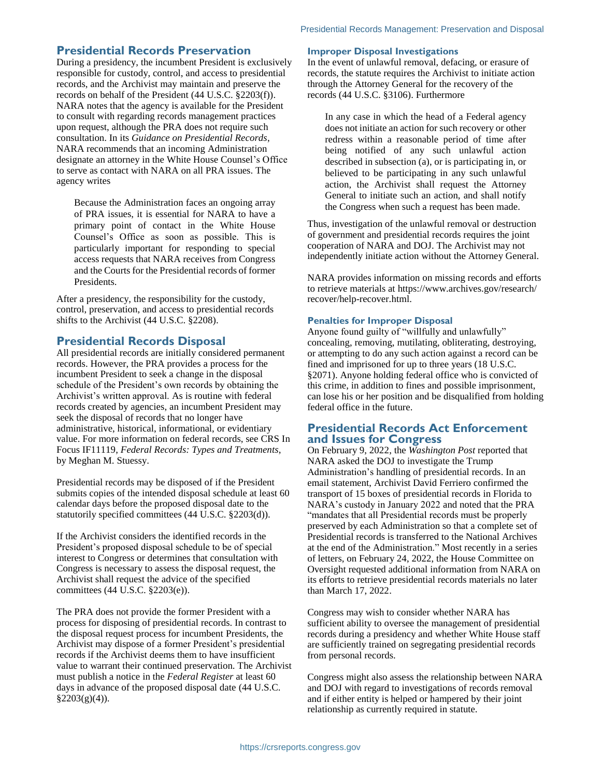#### **Presidential Records Preservation**

During a presidency, the incumbent President is exclusively responsible for custody, control, and access to presidential records, and the Archivist may maintain and preserve the records on behalf of the President (44 U.S.C. §2203(f)). NARA notes that the agency is available for the President to consult with regarding records management practices upon request, although the PRA does not require such consultation. In its *Guidance on Presidential Records*, NARA recommends that an incoming Administration designate an attorney in the White House Counsel's Office to serve as contact with NARA on all PRA issues. The agency writes

Because the Administration faces an ongoing array of PRA issues, it is essential for NARA to have a primary point of contact in the White House Counsel's Office as soon as possible. This is particularly important for responding to special access requests that NARA receives from Congress and the Courts for the Presidential records of former Presidents.

After a presidency, the responsibility for the custody, control, preservation, and access to presidential records shifts to the Archivist (44 U.S.C. §2208).

#### **Presidential Records Disposal**

All presidential records are initially considered permanent records. However, the PRA provides a process for the incumbent President to seek a change in the disposal schedule of the President's own records by obtaining the Archivist's written approval. As is routine with federal records created by agencies, an incumbent President may seek the disposal of records that no longer have administrative, historical, informational, or evidentiary value. For more information on federal records, see CRS In Focus IF11119, *Federal Records: Types and Treatments*, by Meghan M. Stuessy.

Presidential records may be disposed of if the President submits copies of the intended disposal schedule at least 60 calendar days before the proposed disposal date to the statutorily specified committees (44 U.S.C. §2203(d)).

If the Archivist considers the identified records in the President's proposed disposal schedule to be of special interest to Congress or determines that consultation with Congress is necessary to assess the disposal request, the Archivist shall request the advice of the specified committees (44 U.S.C. §2203(e)).

The PRA does not provide the former President with a process for disposing of presidential records. In contrast to the disposal request process for incumbent Presidents, the Archivist may dispose of a former President's presidential records if the Archivist deems them to have insufficient value to warrant their continued preservation. The Archivist must publish a notice in the *Federal Register* at least 60 days in advance of the proposed disposal date (44 U.S.C.  $§2203(g)(4)$ ).

#### **Improper Disposal Investigations**

In the event of unlawful removal, defacing, or erasure of records, the statute requires the Archivist to initiate action through the Attorney General for the recovery of the records (44 U.S.C. §3106). Furthermore

In any case in which the head of a Federal agency does not initiate an action for such recovery or other redress within a reasonable period of time after being notified of any such unlawful action described in subsection (a), or is participating in, or believed to be participating in any such unlawful action, the Archivist shall request the Attorney General to initiate such an action, and shall notify the Congress when such a request has been made.

Thus, investigation of the unlawful removal or destruction of government and presidential records requires the joint cooperation of NARA and DOJ. The Archivist may not independently initiate action without the Attorney General.

NARA provides information on missing records and efforts to retrieve materials at https://www.archives.gov/research/ recover/help-recover.html.

#### **Penalties for Improper Disposal**

Anyone found guilty of "willfully and unlawfully" concealing, removing, mutilating, obliterating, destroying, or attempting to do any such action against a record can be fined and imprisoned for up to three years (18 U.S.C. §2071). Anyone holding federal office who is convicted of this crime, in addition to fines and possible imprisonment, can lose his or her position and be disqualified from holding federal office in the future.

#### **Presidential Records Act Enforcement and Issues for Congress**

On February 9, 2022, the *Washington Post* reported that NARA asked the DOJ to investigate the Trump Administration's handling of presidential records. In an email statement, Archivist David Ferriero confirmed the transport of 15 boxes of presidential records in Florida to NARA's custody in January 2022 and noted that the PRA "mandates that all Presidential records must be properly preserved by each Administration so that a complete set of Presidential records is transferred to the National Archives at the end of the Administration." Most recently in a series of letters, on February 24, 2022, the House Committee on Oversight requested additional information from NARA on its efforts to retrieve presidential records materials no later than March 17, 2022.

Congress may wish to consider whether NARA has sufficient ability to oversee the management of presidential records during a presidency and whether White House staff are sufficiently trained on segregating presidential records from personal records.

Congress might also assess the relationship between NARA and DOJ with regard to investigations of records removal and if either entity is helped or hampered by their joint relationship as currently required in statute.